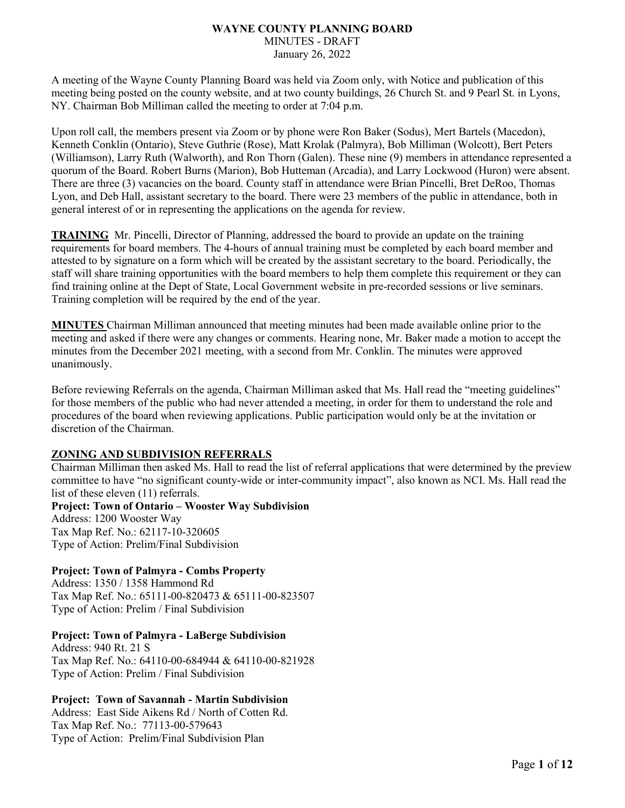#### **WAYNE COUNTY PLANNING BOARD** MINUTES - DRAFT January 26, 2022

A meeting of the Wayne County Planning Board was held via Zoom only, with Notice and publication of this meeting being posted on the county website, and at two county buildings, 26 Church St. and 9 Pearl St. in Lyons, NY. Chairman Bob Milliman called the meeting to order at 7:04 p.m.

Upon roll call, the members present via Zoom or by phone were Ron Baker (Sodus), Mert Bartels (Macedon), Kenneth Conklin (Ontario), Steve Guthrie (Rose), Matt Krolak (Palmyra), Bob Milliman (Wolcott), Bert Peters (Williamson), Larry Ruth (Walworth), and Ron Thorn (Galen). These nine (9) members in attendance represented a quorum of the Board. Robert Burns (Marion), Bob Hutteman (Arcadia), and Larry Lockwood (Huron) were absent. There are three (3) vacancies on the board. County staff in attendance were Brian Pincelli, Bret DeRoo, Thomas Lyon, and Deb Hall, assistant secretary to the board. There were 23 members of the public in attendance, both in general interest of or in representing the applications on the agenda for review.

**TRAINING** Mr. Pincelli, Director of Planning, addressed the board to provide an update on the training requirements for board members. The 4-hours of annual training must be completed by each board member and attested to by signature on a form which will be created by the assistant secretary to the board. Periodically, the staff will share training opportunities with the board members to help them complete this requirement or they can find training online at the Dept of State, Local Government website in pre-recorded sessions or live seminars. Training completion will be required by the end of the year.

**MINUTES** Chairman Milliman announced that meeting minutes had been made available online prior to the meeting and asked if there were any changes or comments. Hearing none, Mr. Baker made a motion to accept the minutes from the December 2021 meeting, with a second from Mr. Conklin. The minutes were approved unanimously.

Before reviewing Referrals on the agenda, Chairman Milliman asked that Ms. Hall read the "meeting guidelines" for those members of the public who had never attended a meeting, in order for them to understand the role and procedures of the board when reviewing applications. Public participation would only be at the invitation or discretion of the Chairman.

# **ZONING AND SUBDIVISION REFERRALS**

Chairman Milliman then asked Ms. Hall to read the list of referral applications that were determined by the preview committee to have "no significant county-wide or inter-community impact", also known as NCI. Ms. Hall read the list of these eleven (11) referrals.

**Project: Town of Ontario – Wooster Way Subdivision** Address: 1200 Wooster Way Tax Map Ref. No.: 62117-10-320605 Type of Action: Prelim/Final Subdivision

# **Project: Town of Palmyra - Combs Property**

Address: 1350 / 1358 Hammond Rd Tax Map Ref. No.: 65111-00-820473 & 65111-00-823507 Type of Action: Prelim / Final Subdivision

# **Project: Town of Palmyra - LaBerge Subdivision**

Address: 940 Rt. 21 S Tax Map Ref. No.: 64110-00-684944 & 64110-00-821928 Type of Action: Prelim / Final Subdivision

# **Project: Town of Savannah - Martin Subdivision**

Address: East Side Aikens Rd / North of Cotten Rd. Tax Map Ref. No.: 77113-00-579643 Type of Action: Prelim/Final Subdivision Plan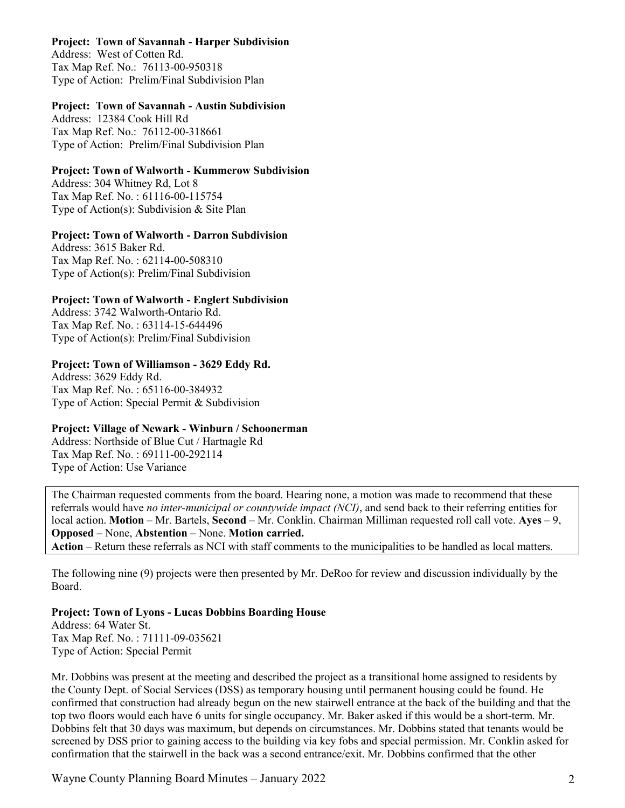#### **Project: Town of Savannah - Harper Subdivision**

Address: West of Cotten Rd. Tax Map Ref. No.: 76113-00-950318 Type of Action: Prelim/Final Subdivision Plan

#### **Project: Town of Savannah - Austin Subdivision**

Address: 12384 Cook Hill Rd Tax Map Ref. No.: 76112-00-318661 Type of Action: Prelim/Final Subdivision Plan

# **Project: Town of Walworth - Kummerow Subdivision**

Address: 304 Whitney Rd, Lot 8 Tax Map Ref. No. : 61116-00-115754 Type of Action(s): Subdivision & Site Plan

# **Project: Town of Walworth - Darron Subdivision**

Address: 3615 Baker Rd. Tax Map Ref. No. : 62114-00-508310 Type of Action(s): Prelim/Final Subdivision

# **Project: Town of Walworth - Englert Subdivision**

Address: 3742 Walworth-Ontario Rd. Tax Map Ref. No. : 63114-15-644496 Type of Action(s): Prelim/Final Subdivision

# **Project: Town of Williamson - 3629 Eddy Rd.**

Address: 3629 Eddy Rd. Tax Map Ref. No. : 65116-00-384932 Type of Action: Special Permit & Subdivision

# **Project: Village of Newark - Winburn / Schoonerman**

Address: Northside of Blue Cut / Hartnagle Rd Tax Map Ref. No. : 69111-00-292114 Type of Action: Use Variance

The Chairman requested comments from the board. Hearing none, a motion was made to recommend that these referrals would have *no inter-municipal or countywide impact (NCI)*, and send back to their referring entities for local action. **Motion** – Mr. Bartels, **Second** – Mr. Conklin. Chairman Milliman requested roll call vote. **Ayes** – 9, **Opposed** – None, **Abstention** – None. **Motion carried. Action** – Return these referrals as NCI with staff comments to the municipalities to be handled as local matters.

The following nine (9) projects were then presented by Mr. DeRoo for review and discussion individually by the Board.

# **Project: Town of Lyons - Lucas Dobbins Boarding House**

Address: 64 Water St. Tax Map Ref. No. : 71111-09-035621 Type of Action: Special Permit

Mr. Dobbins was present at the meeting and described the project as a transitional home assigned to residents by the County Dept. of Social Services (DSS) as temporary housing until permanent housing could be found. He confirmed that construction had already begun on the new stairwell entrance at the back of the building and that the top two floors would each have 6 units for single occupancy. Mr. Baker asked if this would be a short-term. Mr. Dobbins felt that 30 days was maximum, but depends on circumstances. Mr. Dobbins stated that tenants would be screened by DSS prior to gaining access to the building via key fobs and special permission. Mr. Conklin asked for confirmation that the stairwell in the back was a second entrance/exit. Mr. Dobbins confirmed that the other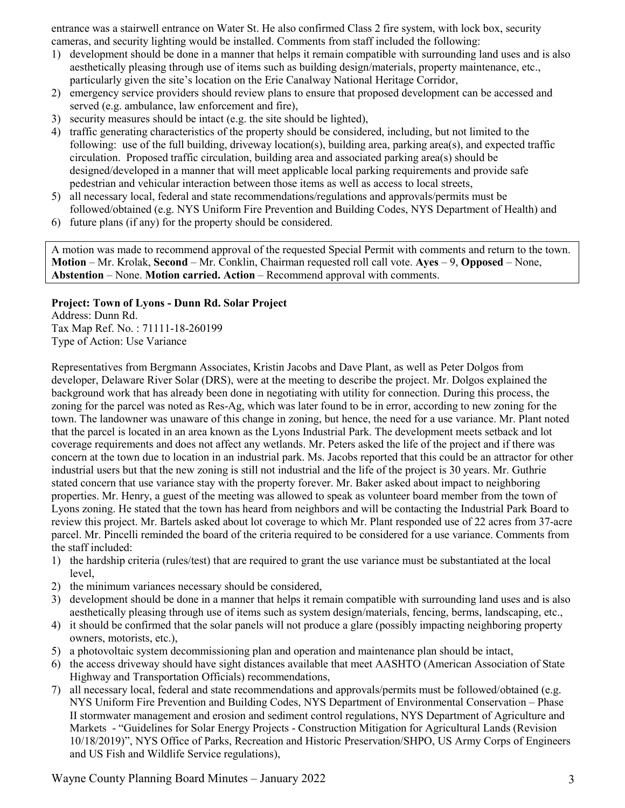entrance was a stairwell entrance on Water St. He also confirmed Class 2 fire system, with lock box, security cameras, and security lighting would be installed. Comments from staff included the following:

- 1) development should be done in a manner that helps it remain compatible with surrounding land uses and is also aesthetically pleasing through use of items such as building design/materials, property maintenance, etc., particularly given the site's location on the Erie Canalway National Heritage Corridor,
- 2) emergency service providers should review plans to ensure that proposed development can be accessed and served (e.g. ambulance, law enforcement and fire),
- 3) security measures should be intact (e.g. the site should be lighted),
- 4) traffic generating characteristics of the property should be considered, including, but not limited to the following: use of the full building, driveway location(s), building area, parking area(s), and expected traffic circulation. Proposed traffic circulation, building area and associated parking area(s) should be designed/developed in a manner that will meet applicable local parking requirements and provide safe pedestrian and vehicular interaction between those items as well as access to local streets,
- 5) all necessary local, federal and state recommendations/regulations and approvals/permits must be followed/obtained (e.g. NYS Uniform Fire Prevention and Building Codes, NYS Department of Health) and
- 6) future plans (if any) for the property should be considered.

A motion was made to recommend approval of the requested Special Permit with comments and return to the town. **Motion** – Mr. Krolak, **Second** – Mr. Conklin, Chairman requested roll call vote. **Ayes** – 9, **Opposed** – None, **Abstention** – None. **Motion carried. Action** – Recommend approval with comments.

# **Project: Town of Lyons - Dunn Rd. Solar Project**

Address: Dunn Rd. Tax Map Ref. No. : 71111-18-260199 Type of Action: Use Variance

Representatives from Bergmann Associates, Kristin Jacobs and Dave Plant, as well as Peter Dolgos from developer, Delaware River Solar (DRS), were at the meeting to describe the project. Mr. Dolgos explained the background work that has already been done in negotiating with utility for connection. During this process, the zoning for the parcel was noted as Res-Ag, which was later found to be in error, according to new zoning for the town. The landowner was unaware of this change in zoning, but hence, the need for a use variance. Mr. Plant noted that the parcel is located in an area known as the Lyons Industrial Park. The development meets setback and lot coverage requirements and does not affect any wetlands. Mr. Peters asked the life of the project and if there was concern at the town due to location in an industrial park. Ms. Jacobs reported that this could be an attractor for other industrial users but that the new zoning is still not industrial and the life of the project is 30 years. Mr. Guthrie stated concern that use variance stay with the property forever. Mr. Baker asked about impact to neighboring properties. Mr. Henry, a guest of the meeting was allowed to speak as volunteer board member from the town of Lyons zoning. He stated that the town has heard from neighbors and will be contacting the Industrial Park Board to review this project. Mr. Bartels asked about lot coverage to which Mr. Plant responded use of 22 acres from 37-acre parcel. Mr. Pincelli reminded the board of the criteria required to be considered for a use variance. Comments from the staff included:

- 1) the hardship criteria (rules/test) that are required to grant the use variance must be substantiated at the local level,
- 2) the minimum variances necessary should be considered,
- 3) development should be done in a manner that helps it remain compatible with surrounding land uses and is also aesthetically pleasing through use of items such as system design/materials, fencing, berms, landscaping, etc.,
- 4) it should be confirmed that the solar panels will not produce a glare (possibly impacting neighboring property owners, motorists, etc.),
- 5) a photovoltaic system decommissioning plan and operation and maintenance plan should be intact,
- 6) the access driveway should have sight distances available that meet AASHTO (American Association of State Highway and Transportation Officials) recommendations,
- 7) all necessary local, federal and state recommendations and approvals/permits must be followed/obtained (e.g. NYS Uniform Fire Prevention and Building Codes, NYS Department of Environmental Conservation – Phase II stormwater management and erosion and sediment control regulations, NYS Department of Agriculture and Markets - "Guidelines for Solar Energy Projects - Construction Mitigation for Agricultural Lands (Revision 10/18/2019)", NYS Office of Parks, Recreation and Historic Preservation/SHPO, US Army Corps of Engineers and US Fish and Wildlife Service regulations),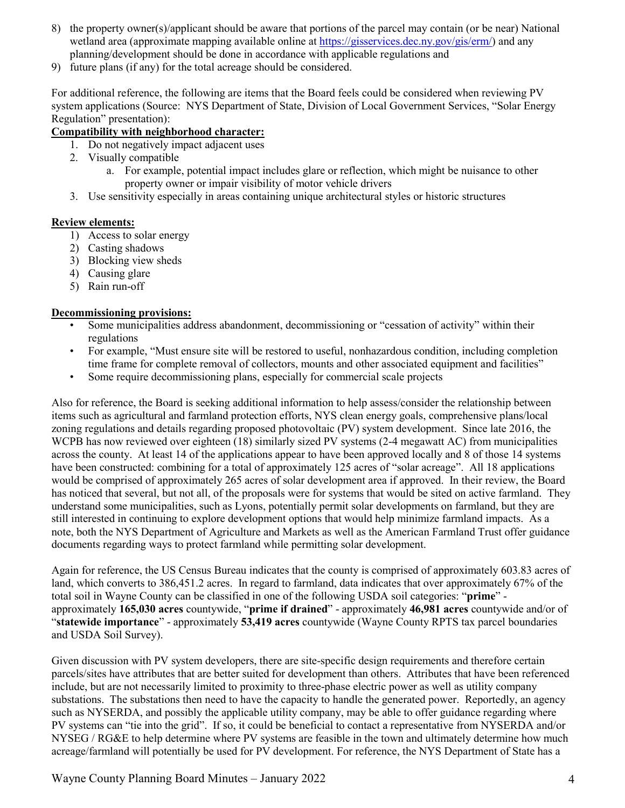- 8) the property owner(s)/applicant should be aware that portions of the parcel may contain (or be near) National wetland area (approximate mapping available online at [https://gisservices.dec.ny.gov/gis/erm/\)](https://gisservices.dec.ny.gov/gis/erm/) and any planning/development should be done in accordance with applicable regulations and
- 9) future plans (if any) for the total acreage should be considered.

For additional reference, the following are items that the Board feels could be considered when reviewing PV system applications (Source: NYS Department of State, Division of Local Government Services, "Solar Energy Regulation" presentation):

#### **Compatibility with neighborhood character:**

- 1. Do not negatively impact adjacent uses
- 2. Visually compatible
	- a. For example, potential impact includes glare or reflection, which might be nuisance to other property owner or impair visibility of motor vehicle drivers
- 3. Use sensitivity especially in areas containing unique architectural styles or historic structures

#### **Review elements:**

- 1) Access to solar energy
- 2) Casting shadows
- 3) Blocking view sheds
- 4) Causing glare
- 5) Rain run-off

#### **Decommissioning provisions:**

- Some municipalities address abandonment, decommissioning or "cessation of activity" within their regulations
- For example, "Must ensure site will be restored to useful, nonhazardous condition, including completion time frame for complete removal of collectors, mounts and other associated equipment and facilities"
- Some require decommissioning plans, especially for commercial scale projects

Also for reference, the Board is seeking additional information to help assess/consider the relationship between items such as agricultural and farmland protection efforts, NYS clean energy goals, comprehensive plans/local zoning regulations and details regarding proposed photovoltaic (PV) system development. Since late 2016, the WCPB has now reviewed over eighteen (18) similarly sized PV systems (2-4 megawatt AC) from municipalities across the county. At least 14 of the applications appear to have been approved locally and 8 of those 14 systems have been constructed: combining for a total of approximately 125 acres of "solar acreage". All 18 applications would be comprised of approximately 265 acres of solar development area if approved. In their review, the Board has noticed that several, but not all, of the proposals were for systems that would be sited on active farmland. They understand some municipalities, such as Lyons, potentially permit solar developments on farmland, but they are still interested in continuing to explore development options that would help minimize farmland impacts. As a note, both the NYS Department of Agriculture and Markets as well as the American Farmland Trust offer guidance documents regarding ways to protect farmland while permitting solar development.

Again for reference, the US Census Bureau indicates that the county is comprised of approximately 603.83 acres of land, which converts to 386,451.2 acres. In regard to farmland, data indicates that over approximately 67% of the total soil in Wayne County can be classified in one of the following USDA soil categories: "**prime**" approximately **165,030 acres** countywide, "**prime if drained**" - approximately **46,981 acres** countywide and/or of "**statewide importance**" - approximately **53,419 acres** countywide (Wayne County RPTS tax parcel boundaries and USDA Soil Survey).

Given discussion with PV system developers, there are site-specific design requirements and therefore certain parcels/sites have attributes that are better suited for development than others. Attributes that have been referenced include, but are not necessarily limited to proximity to three-phase electric power as well as utility company substations. The substations then need to have the capacity to handle the generated power. Reportedly, an agency such as NYSERDA, and possibly the applicable utility company, may be able to offer guidance regarding where PV systems can "tie into the grid". If so, it could be beneficial to contact a representative from NYSERDA and/or NYSEG / RG&E to help determine where PV systems are feasible in the town and ultimately determine how much acreage/farmland will potentially be used for PV development. For reference, the NYS Department of State has a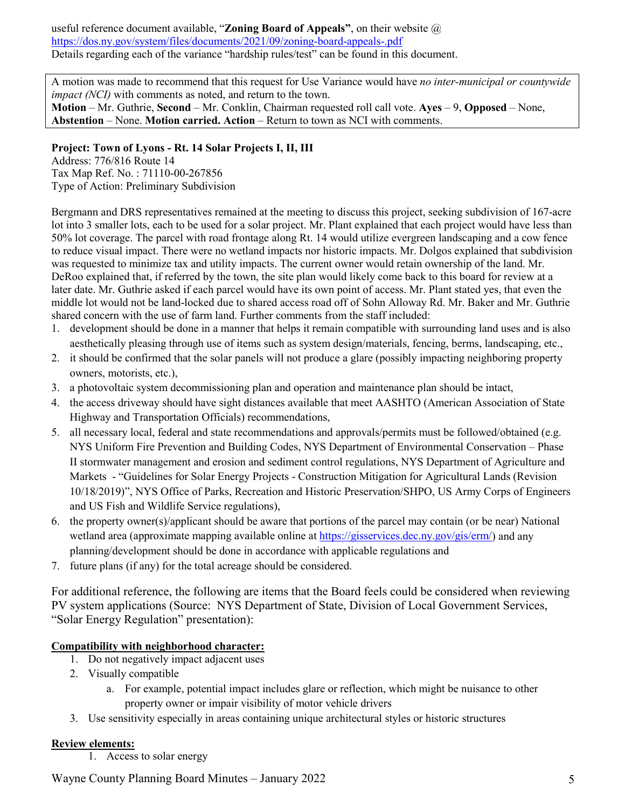useful reference document available, "**[Zoning](http://www.dos.ny.gov/lg/publications/Creating_the_Community_You_Want.pdf) Board of Appeals"**, on their website @ <https://dos.ny.gov/system/files/documents/2021/09/zoning-board-appeals-.pdf> Details regarding each of the variance "hardship rules/test" can be found in this document.

A motion was made to recommend that this request for Use Variance would have *no inter-municipal or countywide impact (NCI)* with comments as noted, and return to the town.

**Motion** – Mr. Guthrie, **Second** – Mr. Conklin, Chairman requested roll call vote. **Ayes** – 9, **Opposed** – None, **Abstention** – None. **Motion carried. Action** – Return to town as NCI with comments.

### **Project: Town of Lyons - Rt. 14 Solar Projects I, II, III**

Address: 776/816 Route 14 Tax Map Ref. No. : 71110-00-267856 Type of Action: Preliminary Subdivision

Bergmann and DRS representatives remained at the meeting to discuss this project, seeking subdivision of 167-acre lot into 3 smaller lots, each to be used for a solar project. Mr. Plant explained that each project would have less than 50% lot coverage. The parcel with road frontage along Rt. 14 would utilize evergreen landscaping and a cow fence to reduce visual impact. There were no wetland impacts nor historic impacts. Mr. Dolgos explained that subdivision was requested to minimize tax and utility impacts. The current owner would retain ownership of the land. Mr. DeRoo explained that, if referred by the town, the site plan would likely come back to this board for review at a later date. Mr. Guthrie asked if each parcel would have its own point of access. Mr. Plant stated yes, that even the middle lot would not be land-locked due to shared access road off of Sohn Alloway Rd. Mr. Baker and Mr. Guthrie shared concern with the use of farm land. Further comments from the staff included:

- 1. development should be done in a manner that helps it remain compatible with surrounding land uses and is also aesthetically pleasing through use of items such as system design/materials, fencing, berms, landscaping, etc.,
- 2. it should be confirmed that the solar panels will not produce a glare (possibly impacting neighboring property owners, motorists, etc.),
- 3. a photovoltaic system decommissioning plan and operation and maintenance plan should be intact,
- 4. the access driveway should have sight distances available that meet AASHTO (American Association of State Highway and Transportation Officials) recommendations,
- 5. all necessary local, federal and state recommendations and approvals/permits must be followed/obtained (e.g. NYS Uniform Fire Prevention and Building Codes, NYS Department of Environmental Conservation – Phase II stormwater management and erosion and sediment control regulations, NYS Department of Agriculture and Markets - "Guidelines for Solar Energy Projects - Construction Mitigation for Agricultural Lands (Revision 10/18/2019)", NYS Office of Parks, Recreation and Historic Preservation/SHPO, US Army Corps of Engineers and US Fish and Wildlife Service regulations),
- 6. the property owner(s)/applicant should be aware that portions of the parcel may contain (or be near) National wetland area (approximate mapping available online at [https://gisservices.dec.ny.gov/gis/erm/\)](https://gisservices.dec.ny.gov/gis/erm/) and any planning/development should be done in accordance with applicable regulations and
- 7. future plans (if any) for the total acreage should be considered.

For additional reference, the following are items that the Board feels could be considered when reviewing PV system applications (Source: NYS Department of State, Division of Local Government Services, "Solar Energy Regulation" presentation):

# **Compatibility with neighborhood character:**

- 1. Do not negatively impact adjacent uses
- 2. Visually compatible
	- a. For example, potential impact includes glare or reflection, which might be nuisance to other property owner or impair visibility of motor vehicle drivers
- 3. Use sensitivity especially in areas containing unique architectural styles or historic structures

#### **Review elements:**

1. Access to solar energy

Wayne County Planning Board Minutes – January 2022 5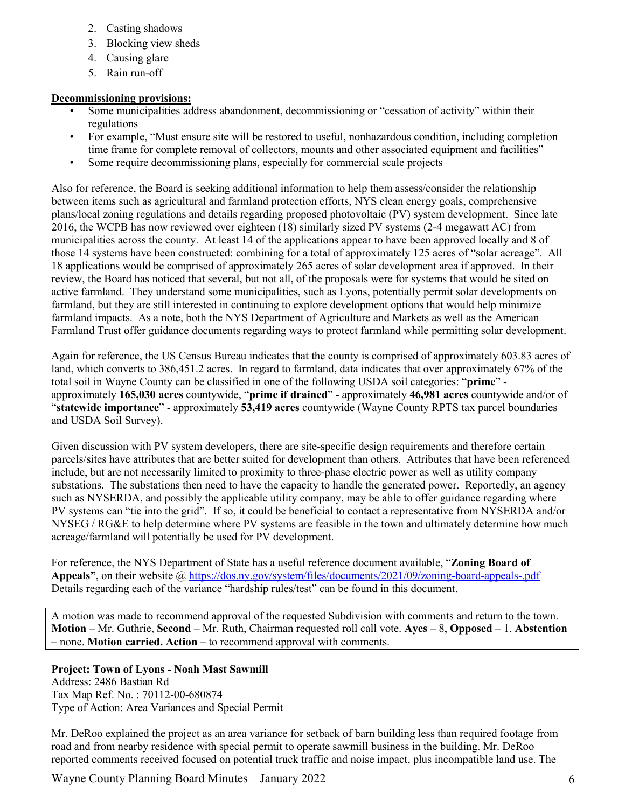- 2. Casting shadows
- 3. Blocking view sheds
- 4. Causing glare
- 5. Rain run-off

# **Decommissioning provisions:**

- Some municipalities address abandonment, decommissioning or "cessation of activity" within their regulations
- For example, "Must ensure site will be restored to useful, nonhazardous condition, including completion time frame for complete removal of collectors, mounts and other associated equipment and facilities"
- Some require decommissioning plans, especially for commercial scale projects

Also for reference, the Board is seeking additional information to help them assess/consider the relationship between items such as agricultural and farmland protection efforts, NYS clean energy goals, comprehensive plans/local zoning regulations and details regarding proposed photovoltaic (PV) system development. Since late 2016, the WCPB has now reviewed over eighteen (18) similarly sized PV systems (2-4 megawatt AC) from municipalities across the county. At least 14 of the applications appear to have been approved locally and 8 of those 14 systems have been constructed: combining for a total of approximately 125 acres of "solar acreage". All 18 applications would be comprised of approximately 265 acres of solar development area if approved. In their review, the Board has noticed that several, but not all, of the proposals were for systems that would be sited on active farmland. They understand some municipalities, such as Lyons, potentially permit solar developments on farmland, but they are still interested in continuing to explore development options that would help minimize farmland impacts. As a note, both the NYS Department of Agriculture and Markets as well as the American Farmland Trust offer guidance documents regarding ways to protect farmland while permitting solar development.

Again for reference, the US Census Bureau indicates that the county is comprised of approximately 603.83 acres of land, which converts to 386,451.2 acres. In regard to farmland, data indicates that over approximately 67% of the total soil in Wayne County can be classified in one of the following USDA soil categories: "**prime**" approximately **165,030 acres** countywide, "**prime if drained**" - approximately **46,981 acres** countywide and/or of "**statewide importance**" - approximately **53,419 acres** countywide (Wayne County RPTS tax parcel boundaries and USDA Soil Survey).

Given discussion with PV system developers, there are site-specific design requirements and therefore certain parcels/sites have attributes that are better suited for development than others. Attributes that have been referenced include, but are not necessarily limited to proximity to three-phase electric power as well as utility company substations. The substations then need to have the capacity to handle the generated power. Reportedly, an agency such as NYSERDA, and possibly the applicable utility company, may be able to offer guidance regarding where PV systems can "tie into the grid". If so, it could be beneficial to contact a representative from NYSERDA and/or NYSEG / RG&E to help determine where PV systems are feasible in the town and ultimately determine how much acreage/farmland will potentially be used for PV development.

For reference, the NYS Department of State has a useful reference document available, "**[Zoning](http://www.dos.ny.gov/lg/publications/Creating_the_Community_You_Want.pdf) Board of Appeals"**, on their website @<https://dos.ny.gov/system/files/documents/2021/09/zoning-board-appeals-.pdf> Details regarding each of the variance "hardship rules/test" can be found in this document.

A motion was made to recommend approval of the requested Subdivision with comments and return to the town. **Motion** – Mr. Guthrie, **Second** – Mr. Ruth, Chairman requested roll call vote. **Ayes** – 8, **Opposed** – 1, **Abstention** – none. **Motion carried. Action** – to recommend approval with comments.

# **Project: Town of Lyons - Noah Mast Sawmill**

Address: 2486 Bastian Rd Tax Map Ref. No. : 70112-00-680874 Type of Action: Area Variances and Special Permit

Mr. DeRoo explained the project as an area variance for setback of barn building less than required footage from road and from nearby residence with special permit to operate sawmill business in the building. Mr. DeRoo reported comments received focused on potential truck traffic and noise impact, plus incompatible land use. The

Wayne County Planning Board Minutes – January 2022 6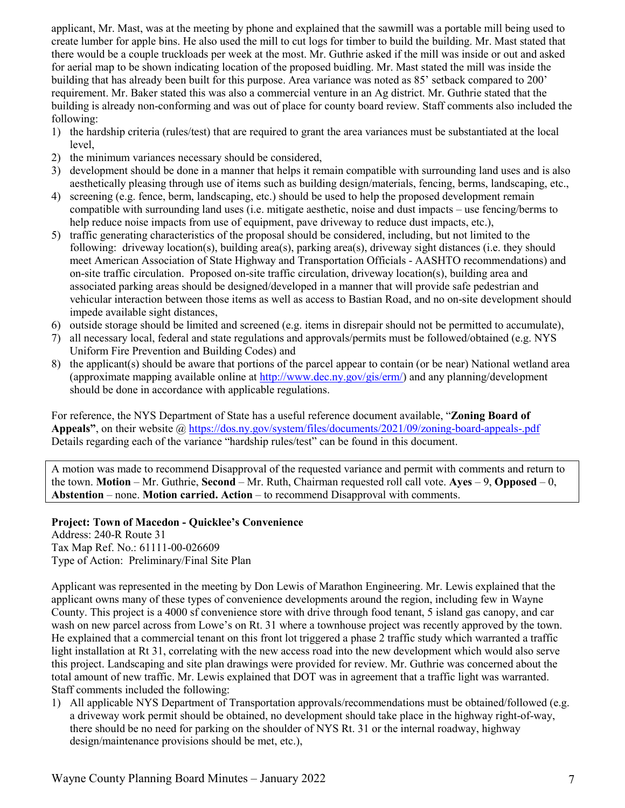applicant, Mr. Mast, was at the meeting by phone and explained that the sawmill was a portable mill being used to create lumber for apple bins. He also used the mill to cut logs for timber to build the building. Mr. Mast stated that there would be a couple truckloads per week at the most. Mr. Guthrie asked if the mill was inside or out and asked for aerial map to be shown indicating location of the proposed buidling. Mr. Mast stated the mill was inside the building that has already been built for this purpose. Area variance was noted as 85' setback compared to 200' requirement. Mr. Baker stated this was also a commercial venture in an Ag district. Mr. Guthrie stated that the building is already non-conforming and was out of place for county board review. Staff comments also included the following:

- 1) the hardship criteria (rules/test) that are required to grant the area variances must be substantiated at the local level,
- 2) the minimum variances necessary should be considered,
- 3) development should be done in a manner that helps it remain compatible with surrounding land uses and is also aesthetically pleasing through use of items such as building design/materials, fencing, berms, landscaping, etc.,
- 4) screening (e.g. fence, berm, landscaping, etc.) should be used to help the proposed development remain compatible with surrounding land uses (i.e. mitigate aesthetic, noise and dust impacts – use fencing/berms to help reduce noise impacts from use of equipment, pave driveway to reduce dust impacts, etc.),
- 5) traffic generating characteristics of the proposal should be considered, including, but not limited to the following: driveway location(s), building area(s), parking area(s), driveway sight distances (i.e. they should meet American Association of State Highway and Transportation Officials - AASHTO recommendations) and on-site traffic circulation. Proposed on-site traffic circulation, driveway location(s), building area and associated parking areas should be designed/developed in a manner that will provide safe pedestrian and vehicular interaction between those items as well as access to Bastian Road, and no on-site development should impede available sight distances,
- 6) outside storage should be limited and screened (e.g. items in disrepair should not be permitted to accumulate),
- 7) all necessary local, federal and state regulations and approvals/permits must be followed/obtained (e.g. NYS Uniform Fire Prevention and Building Codes) and
- 8) the applicant(s) should be aware that portions of the parcel appear to contain (or be near) National wetland area (approximate mapping available online at [http://www.dec.ny.gov/gis/erm/\)](http://www.dec.ny.gov/gis/erm/) and any planning/development should be done in accordance with applicable regulations.

For reference, the NYS Department of State has a useful reference document available, "**[Zoning](http://www.dos.ny.gov/lg/publications/Creating_the_Community_You_Want.pdf) Board of Appeals"**, on their website @<https://dos.ny.gov/system/files/documents/2021/09/zoning-board-appeals-.pdf> Details regarding each of the variance "hardship rules/test" can be found in this document.

A motion was made to recommend Disapproval of the requested variance and permit with comments and return to the town. **Motion** – Mr. Guthrie, **Second** – Mr. Ruth, Chairman requested roll call vote. **Ayes** – 9, **Opposed** – 0, **Abstention** – none. **Motion carried. Action** – to recommend Disapproval with comments.

**Project: Town of Macedon - Quicklee's Convenience** Address: 240-R Route 31 Tax Map Ref. No.: 61111-00-026609

Type of Action: Preliminary/Final Site Plan

Applicant was represented in the meeting by Don Lewis of Marathon Engineering. Mr. Lewis explained that the applicant owns many of these types of convenience developments around the region, including few in Wayne County. This project is a 4000 sf convenience store with drive through food tenant, 5 island gas canopy, and car wash on new parcel across from Lowe's on Rt. 31 where a townhouse project was recently approved by the town. He explained that a commercial tenant on this front lot triggered a phase 2 traffic study which warranted a traffic light installation at Rt 31, correlating with the new access road into the new development which would also serve this project. Landscaping and site plan drawings were provided for review. Mr. Guthrie was concerned about the total amount of new traffic. Mr. Lewis explained that DOT was in agreement that a traffic light was warranted. Staff comments included the following:

1) All applicable NYS Department of Transportation approvals/recommendations must be obtained/followed (e.g. a driveway work permit should be obtained, no development should take place in the highway right-of-way, there should be no need for parking on the shoulder of NYS Rt. 31 or the internal roadway, highway design/maintenance provisions should be met, etc.),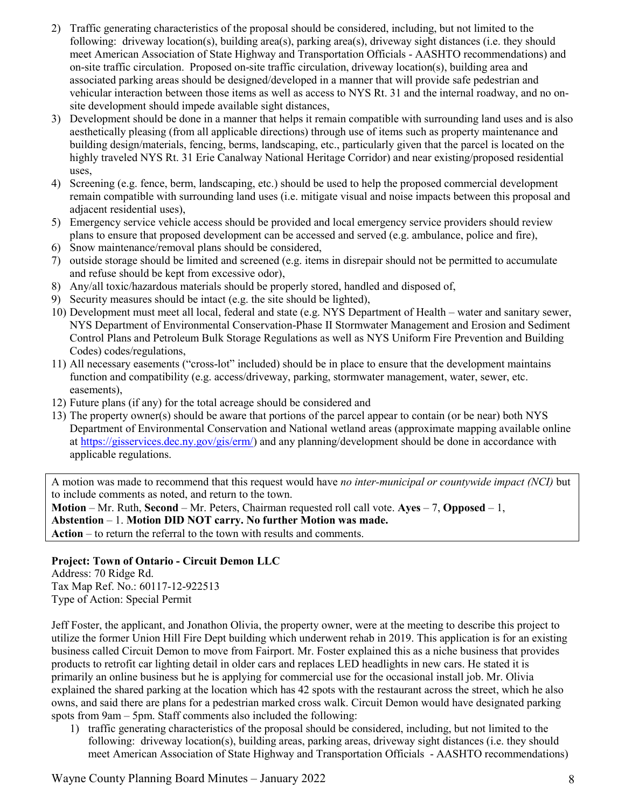- 2) Traffic generating characteristics of the proposal should be considered, including, but not limited to the following: driveway location(s), building area(s), parking area(s), driveway sight distances (i.e. they should meet American Association of State Highway and Transportation Officials - AASHTO recommendations) and on-site traffic circulation. Proposed on-site traffic circulation, driveway location(s), building area and associated parking areas should be designed/developed in a manner that will provide safe pedestrian and vehicular interaction between those items as well as access to NYS Rt. 31 and the internal roadway, and no onsite development should impede available sight distances,
- 3) Development should be done in a manner that helps it remain compatible with surrounding land uses and is also aesthetically pleasing (from all applicable directions) through use of items such as property maintenance and building design/materials, fencing, berms, landscaping, etc., particularly given that the parcel is located on the highly traveled NYS Rt. 31 Erie Canalway National Heritage Corridor) and near existing/proposed residential uses,
- 4) Screening (e.g. fence, berm, landscaping, etc.) should be used to help the proposed commercial development remain compatible with surrounding land uses (i.e. mitigate visual and noise impacts between this proposal and adjacent residential uses),
- 5) Emergency service vehicle access should be provided and local emergency service providers should review plans to ensure that proposed development can be accessed and served (e.g. ambulance, police and fire),
- 6) Snow maintenance/removal plans should be considered,
- 7) outside storage should be limited and screened (e.g. items in disrepair should not be permitted to accumulate and refuse should be kept from excessive odor),
- 8) Any/all toxic/hazardous materials should be properly stored, handled and disposed of,
- 9) Security measures should be intact (e.g. the site should be lighted),
- 10) Development must meet all local, federal and state (e.g. NYS Department of Health water and sanitary sewer, NYS Department of Environmental Conservation-Phase II Stormwater Management and Erosion and Sediment Control Plans and Petroleum Bulk Storage Regulations as well as NYS Uniform Fire Prevention and Building Codes) codes/regulations,
- 11) All necessary easements ("cross-lot" included) should be in place to ensure that the development maintains function and compatibility (e.g. access/driveway, parking, stormwater management, water, sewer, etc. easements),
- 12) Future plans (if any) for the total acreage should be considered and
- 13) The property owner(s) should be aware that portions of the parcel appear to contain (or be near) both NYS Department of Environmental Conservation and National wetland areas (approximate mapping available online at [https://gisservices.dec.ny.gov/gis/erm/\)](https://gisservices.dec.ny.gov/gis/erm/) and any planning/development should be done in accordance with applicable regulations.

A motion was made to recommend that this request would have *no inter-municipal or countywide impact (NCI)* but to include comments as noted, and return to the town.

**Motion** – Mr. Ruth, **Second** – Mr. Peters, Chairman requested roll call vote. **Ayes** – 7, **Opposed** – 1, **Abstention** – 1. **Motion DID NOT carry. No further Motion was made. Action** – to return the referral to the town with results and comments.

**Project: Town of Ontario - Circuit Demon LLC**

Address: 70 Ridge Rd. Tax Map Ref. No.: 60117-12-922513 Type of Action: Special Permit

Jeff Foster, the applicant, and Jonathon Olivia, the property owner, were at the meeting to describe this project to utilize the former Union Hill Fire Dept building which underwent rehab in 2019. This application is for an existing business called Circuit Demon to move from Fairport. Mr. Foster explained this as a niche business that provides products to retrofit car lighting detail in older cars and replaces LED headlights in new cars. He stated it is primarily an online business but he is applying for commercial use for the occasional install job. Mr. Olivia explained the shared parking at the location which has 42 spots with the restaurant across the street, which he also owns, and said there are plans for a pedestrian marked cross walk. Circuit Demon would have designated parking spots from 9am – 5pm. Staff comments also included the following:

1) traffic generating characteristics of the proposal should be considered, including, but not limited to the following: driveway location(s), building areas, parking areas, driveway sight distances (i.e. they should meet American Association of State Highway and Transportation Officials - AASHTO recommendations)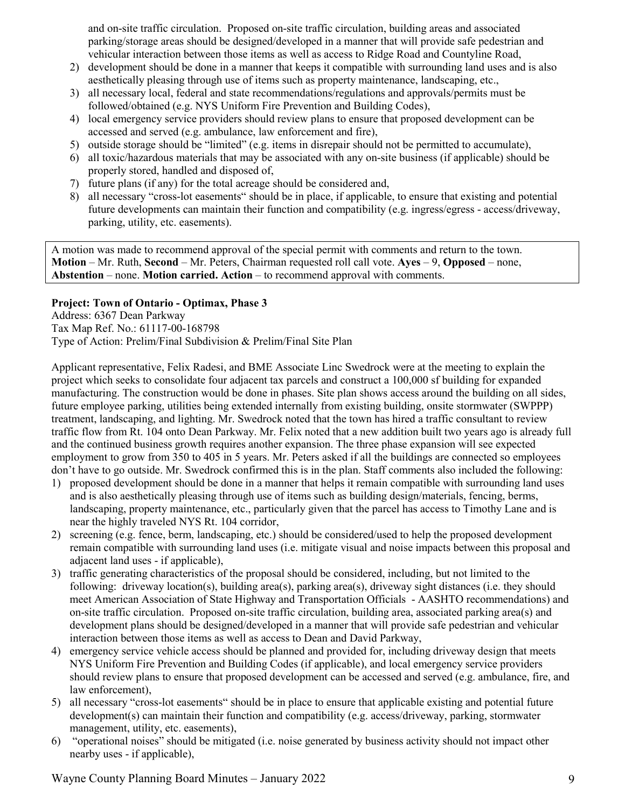and on-site traffic circulation. Proposed on-site traffic circulation, building areas and associated parking/storage areas should be designed/developed in a manner that will provide safe pedestrian and vehicular interaction between those items as well as access to Ridge Road and Countyline Road,

- 2) development should be done in a manner that keeps it compatible with surrounding land uses and is also aesthetically pleasing through use of items such as property maintenance, landscaping, etc.,
- 3) all necessary local, federal and state recommendations/regulations and approvals/permits must be followed/obtained (e.g. NYS Uniform Fire Prevention and Building Codes),
- 4) local emergency service providers should review plans to ensure that proposed development can be accessed and served (e.g. ambulance, law enforcement and fire),
- 5) outside storage should be "limited" (e.g. items in disrepair should not be permitted to accumulate),
- 6) all toxic/hazardous materials that may be associated with any on-site business (if applicable) should be properly stored, handled and disposed of,
- 7) future plans (if any) for the total acreage should be considered and,
- 8) all necessary "cross-lot easements" should be in place, if applicable, to ensure that existing and potential future developments can maintain their function and compatibility (e.g. ingress/egress - access/driveway, parking, utility, etc. easements).

A motion was made to recommend approval of the special permit with comments and return to the town. **Motion** – Mr. Ruth, **Second** – Mr. Peters, Chairman requested roll call vote. **Ayes** – 9, **Opposed** – none, **Abstention** – none. **Motion carried. Action** – to recommend approval with comments.

# **Project: Town of Ontario - Optimax, Phase 3**

Address: 6367 Dean Parkway Tax Map Ref. No.: 61117-00-168798 Type of Action: Prelim/Final Subdivision & Prelim/Final Site Plan

Applicant representative, Felix Radesi, and BME Associate Linc Swedrock were at the meeting to explain the project which seeks to consolidate four adjacent tax parcels and construct a 100,000 sf building for expanded manufacturing. The construction would be done in phases. Site plan shows access around the building on all sides, future employee parking, utilities being extended internally from existing building, onsite stormwater (SWPPP) treatment, landscaping, and lighting. Mr. Swedrock noted that the town has hired a traffic consultant to review traffic flow from Rt. 104 onto Dean Parkway. Mr. Felix noted that a new addition built two years ago is already full and the continued business growth requires another expansion. The three phase expansion will see expected employment to grow from 350 to 405 in 5 years. Mr. Peters asked if all the buildings are connected so employees don't have to go outside. Mr. Swedrock confirmed this is in the plan. Staff comments also included the following:

- 1) proposed development should be done in a manner that helps it remain compatible with surrounding land uses and is also aesthetically pleasing through use of items such as building design/materials, fencing, berms, landscaping, property maintenance, etc., particularly given that the parcel has access to Timothy Lane and is near the highly traveled NYS Rt. 104 corridor,
- 2) screening (e.g. fence, berm, landscaping, etc.) should be considered/used to help the proposed development remain compatible with surrounding land uses (i.e. mitigate visual and noise impacts between this proposal and adjacent land uses - if applicable),
- 3) traffic generating characteristics of the proposal should be considered, including, but not limited to the following: driveway location(s), building area(s), parking area(s), driveway sight distances (i.e. they should meet American Association of State Highway and Transportation Officials - AASHTO recommendations) and on-site traffic circulation. Proposed on-site traffic circulation, building area, associated parking area(s) and development plans should be designed/developed in a manner that will provide safe pedestrian and vehicular interaction between those items as well as access to Dean and David Parkway,
- 4) emergency service vehicle access should be planned and provided for, including driveway design that meets NYS Uniform Fire Prevention and Building Codes (if applicable), and local emergency service providers should review plans to ensure that proposed development can be accessed and served (e.g. ambulance, fire, and law enforcement),
- 5) all necessary "cross-lot easements" should be in place to ensure that applicable existing and potential future development(s) can maintain their function and compatibility (e.g. access/driveway, parking, stormwater management, utility, etc. easements),
- 6) "operational noises" should be mitigated (i.e. noise generated by business activity should not impact other nearby uses - if applicable),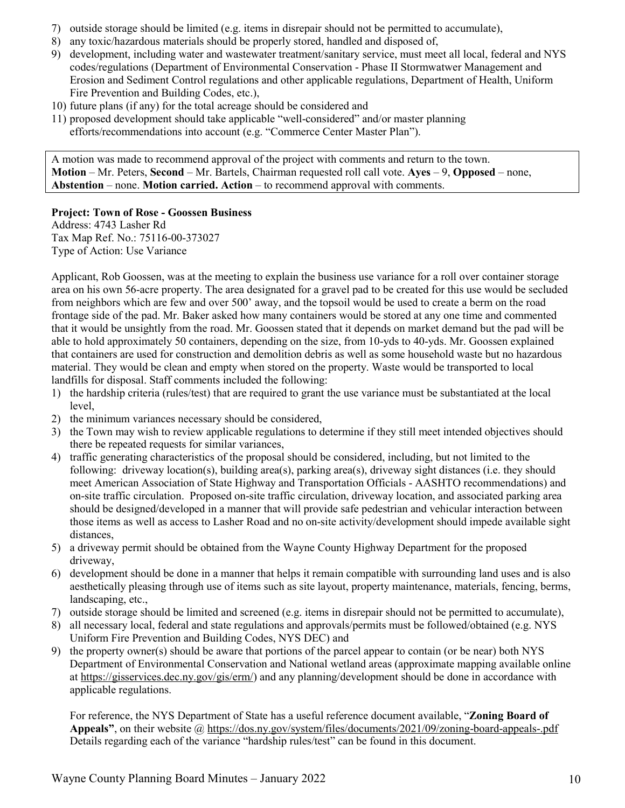- 7) outside storage should be limited (e.g. items in disrepair should not be permitted to accumulate),
- 8) any toxic/hazardous materials should be properly stored, handled and disposed of,
- 9) development, including water and wastewater treatment/sanitary service, must meet all local, federal and NYS codes/regulations (Department of Environmental Conservation - Phase II Stormwatwer Management and Erosion and Sediment Control regulations and other applicable regulations, Department of Health, Uniform Fire Prevention and Building Codes, etc.),
- 10) future plans (if any) for the total acreage should be considered and
- 11) proposed development should take applicable "well-considered" and/or master planning efforts/recommendations into account (e.g. "Commerce Center Master Plan").

A motion was made to recommend approval of the project with comments and return to the town. **Motion** – Mr. Peters, **Second** – Mr. Bartels, Chairman requested roll call vote. **Ayes** – 9, **Opposed** – none, **Abstention** – none. **Motion carried. Action** – to recommend approval with comments.

# **Project: Town of Rose - Goossen Business**

Address: 4743 Lasher Rd Tax Map Ref. No.: 75116-00-373027 Type of Action: Use Variance

Applicant, Rob Goossen, was at the meeting to explain the business use variance for a roll over container storage area on his own 56-acre property. The area designated for a gravel pad to be created for this use would be secluded from neighbors which are few and over 500' away, and the topsoil would be used to create a berm on the road frontage side of the pad. Mr. Baker asked how many containers would be stored at any one time and commented that it would be unsightly from the road. Mr. Goossen stated that it depends on market demand but the pad will be able to hold approximately 50 containers, depending on the size, from 10-yds to 40-yds. Mr. Goossen explained that containers are used for construction and demolition debris as well as some household waste but no hazardous material. They would be clean and empty when stored on the property. Waste would be transported to local landfills for disposal. Staff comments included the following:

- 1) the hardship criteria (rules/test) that are required to grant the use variance must be substantiated at the local level,
- 2) the minimum variances necessary should be considered,
- 3) the Town may wish to review applicable regulations to determine if they still meet intended objectives should there be repeated requests for similar variances,
- 4) traffic generating characteristics of the proposal should be considered, including, but not limited to the following: driveway location(s), building area(s), parking area(s), driveway sight distances (i.e. they should meet American Association of State Highway and Transportation Officials - AASHTO recommendations) and on-site traffic circulation. Proposed on-site traffic circulation, driveway location, and associated parking area should be designed/developed in a manner that will provide safe pedestrian and vehicular interaction between those items as well as access to Lasher Road and no on-site activity/development should impede available sight distances,
- 5) a driveway permit should be obtained from the Wayne County Highway Department for the proposed driveway,
- 6) development should be done in a manner that helps it remain compatible with surrounding land uses and is also aesthetically pleasing through use of items such as site layout, property maintenance, materials, fencing, berms, landscaping, etc.,
- 7) outside storage should be limited and screened (e.g. items in disrepair should not be permitted to accumulate),
- 8) all necessary local, federal and state regulations and approvals/permits must be followed/obtained (e.g. NYS Uniform Fire Prevention and Building Codes, NYS DEC) and
- 9) the property owner(s) should be aware that portions of the parcel appear to contain (or be near) both NYS Department of Environmental Conservation and National wetland areas (approximate mapping available online at [https://gisservices.dec.ny.gov/gis/erm/\)](https://gisservices.dec.ny.gov/gis/erm/) and any planning/development should be done in accordance with applicable regulations.

For reference, the NYS Department of State has a useful reference document available, "**[Zoning](http://www.dos.ny.gov/lg/publications/Creating_the_Community_You_Want.pdf) Board of Appeals"**, on their website @<https://dos.ny.gov/system/files/documents/2021/09/zoning-board-appeals-.pdf> Details regarding each of the variance "hardship rules/test" can be found in this document.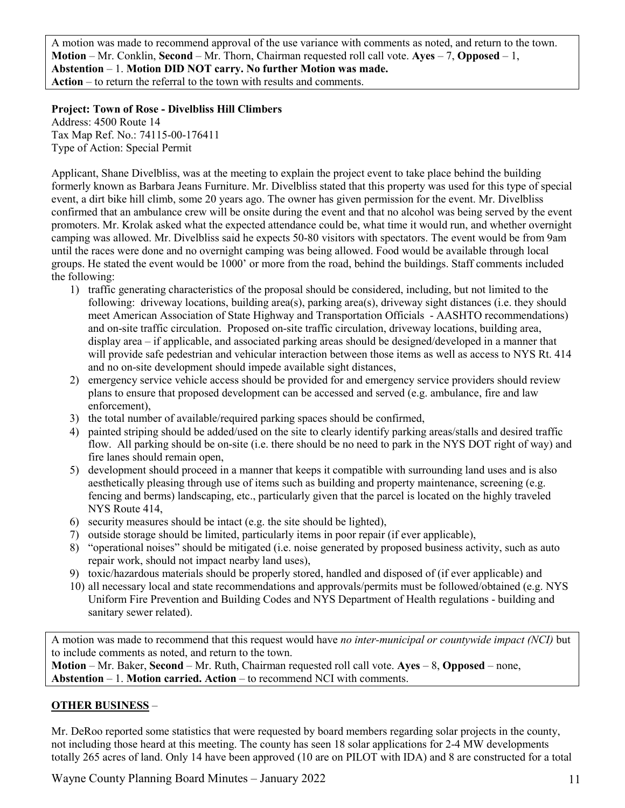A motion was made to recommend approval of the use variance with comments as noted, and return to the town. **Motion** – Mr. Conklin, **Second** – Mr. Thorn, Chairman requested roll call vote. **Ayes** – 7, **Opposed** – 1, **Abstention** – 1. **Motion DID NOT carry. No further Motion was made. Action** – to return the referral to the town with results and comments.

# **Project: Town of Rose - Divelbliss Hill Climbers**

Address: 4500 Route 14 Tax Map Ref. No.: 74115-00-176411 Type of Action: Special Permit

Applicant, Shane Divelbliss, was at the meeting to explain the project event to take place behind the building formerly known as Barbara Jeans Furniture. Mr. Divelbliss stated that this property was used for this type of special event, a dirt bike hill climb, some 20 years ago. The owner has given permission for the event. Mr. Divelbliss confirmed that an ambulance crew will be onsite during the event and that no alcohol was being served by the event promoters. Mr. Krolak asked what the expected attendance could be, what time it would run, and whether overnight camping was allowed. Mr. Divelbliss said he expects 50-80 visitors with spectators. The event would be from 9am until the races were done and no overnight camping was being allowed. Food would be available through local groups. He stated the event would be 1000' or more from the road, behind the buildings. Staff comments included the following:

- 1) traffic generating characteristics of the proposal should be considered, including, but not limited to the following: driveway locations, building area(s), parking area(s), driveway sight distances (i.e. they should meet American Association of State Highway and Transportation Officials - AASHTO recommendations) and on-site traffic circulation. Proposed on-site traffic circulation, driveway locations, building area, display area – if applicable, and associated parking areas should be designed/developed in a manner that will provide safe pedestrian and vehicular interaction between those items as well as access to NYS Rt. 414 and no on-site development should impede available sight distances,
- 2) emergency service vehicle access should be provided for and emergency service providers should review plans to ensure that proposed development can be accessed and served (e.g. ambulance, fire and law enforcement),
- 3) the total number of available/required parking spaces should be confirmed,
- 4) painted striping should be added/used on the site to clearly identify parking areas/stalls and desired traffic flow. All parking should be on-site (i.e. there should be no need to park in the NYS DOT right of way) and fire lanes should remain open,
- 5) development should proceed in a manner that keeps it compatible with surrounding land uses and is also aesthetically pleasing through use of items such as building and property maintenance, screening (e.g. fencing and berms) landscaping, etc., particularly given that the parcel is located on the highly traveled NYS Route 414,
- 6) security measures should be intact (e.g. the site should be lighted),
- 7) outside storage should be limited, particularly items in poor repair (if ever applicable),
- 8) "operational noises" should be mitigated (i.e. noise generated by proposed business activity, such as auto repair work, should not impact nearby land uses),
- 9) toxic/hazardous materials should be properly stored, handled and disposed of (if ever applicable) and
- 10) all necessary local and state recommendations and approvals/permits must be followed/obtained (e.g. NYS Uniform Fire Prevention and Building Codes and NYS Department of Health regulations - building and sanitary sewer related).

A motion was made to recommend that this request would have *no inter-municipal or countywide impact (NCI)* but to include comments as noted, and return to the town. **Motion** – Mr. Baker, **Second** – Mr. Ruth, Chairman requested roll call vote. **Ayes** – 8, **Opposed** – none,

**Abstention** – 1. **Motion carried. Action** – to recommend NCI with comments.

#### **OTHER BUSINESS** –

Mr. DeRoo reported some statistics that were requested by board members regarding solar projects in the county, not including those heard at this meeting. The county has seen 18 solar applications for 2-4 MW developments totally 265 acres of land. Only 14 have been approved (10 are on PILOT with IDA) and 8 are constructed for a total

Wayne County Planning Board Minutes – January 2022 11